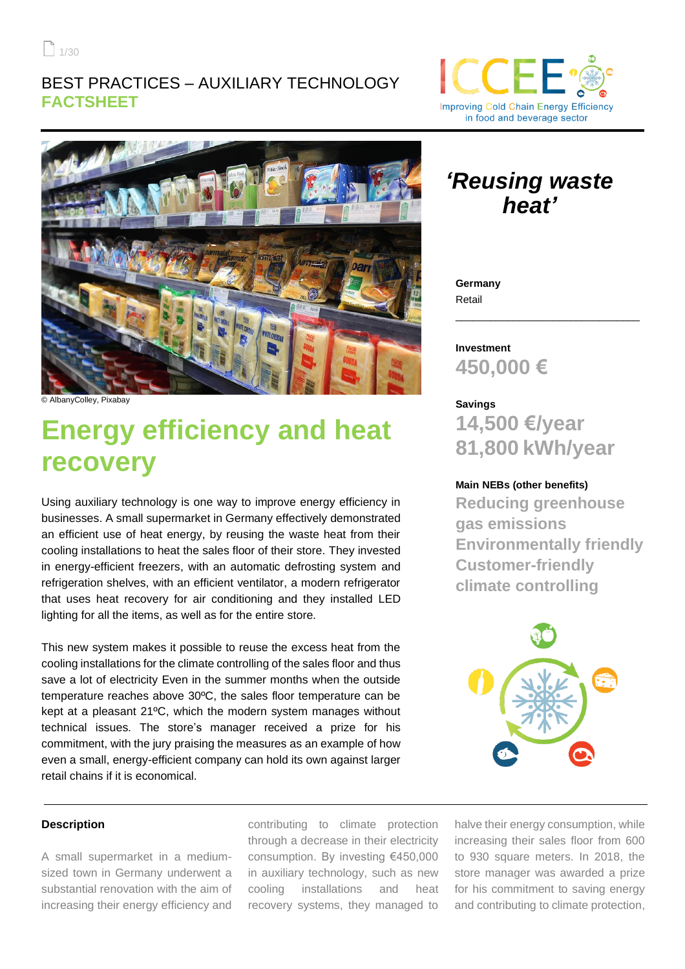$1/30$ 

### BEST PRACTICES – AUXILIARY TECHNOLOGY **FACTSHEET**





© AlbanyColley, Pixabay

# **Energy efficiency and heat recovery**

Using auxiliary technology is one way to improve energy efficiency in businesses. A small supermarket in Germany effectively demonstrated an efficient use of heat energy, by reusing the waste heat from their cooling installations to heat the sales floor of their store. They invested in energy-efficient freezers, with an automatic defrosting system and refrigeration shelves, with an efficient ventilator, a modern refrigerator that uses heat recovery for air conditioning and they installed LED lighting for all the items, as well as for the entire store.

This new system makes it possible to reuse the excess heat from the cooling installations for the climate controlling of the sales floor and thus save a lot of electricity Even in the summer months when the outside temperature reaches above 30ºC, the sales floor temperature can be kept at a pleasant 21ºC, which the modern system manages without technical issues. The store's manager received a prize for his commitment, with the jury praising the measures as an example of how even a small, energy-efficient company can hold its own against larger retail chains if it is economical.

## *'Reusing waste heat'*

**Germany** Retail

**Investment 450,000 €**

**Savings 14,500 €/year 81,800 kWh/year**

\_\_\_\_\_\_\_\_\_\_\_\_\_\_\_\_\_\_\_\_\_\_\_\_\_\_\_\_\_\_\_\_

#### **Main NEBs (other benefits)**

**Reducing greenhouse gas emissions Environmentally friendly Customer-friendly climate controlling**



#### **Description**

A small supermarket in a mediumsized town in Germany underwent a substantial renovation with the aim of increasing their energy efficiency and

contributing to climate protection through a decrease in their electricity consumption. By investing €450,000 in auxiliary technology, such as new cooling installations and heat recovery systems, they managed to

halve their energy consumption, while increasing their sales floor from 600 to 930 square meters. In 2018, the store manager was awarded a prize for his commitment to saving energy and contributing to climate protection,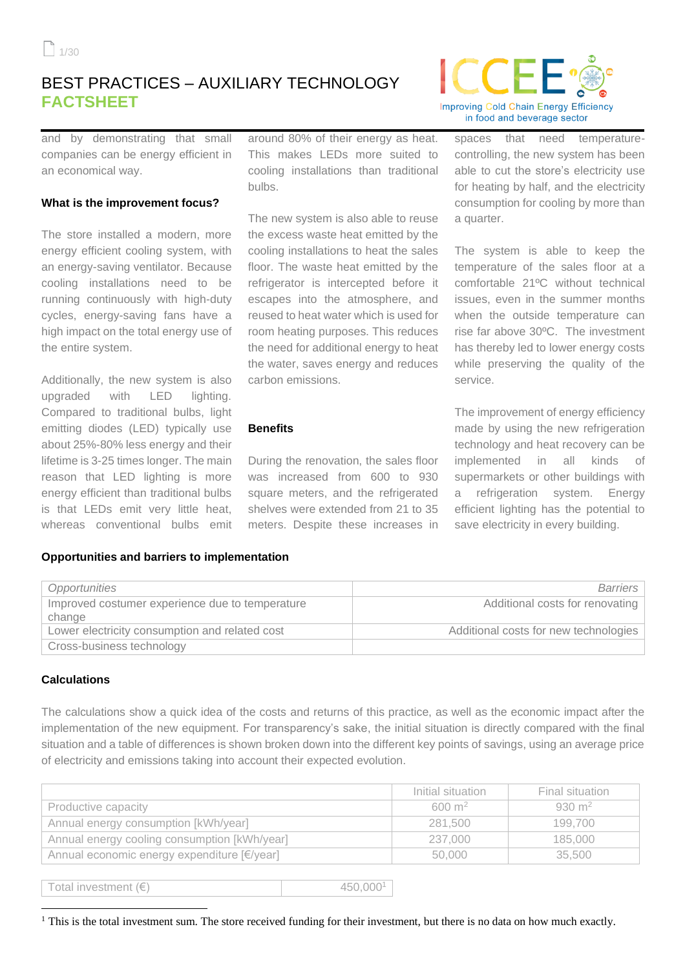## BEST PRACTICES – AUXILIARY TECHNOLOGY **FACTSHEET**



and by demonstrating that small companies can be energy efficient in an economical way.

#### **What is the improvement focus?**

The store installed a modern, more energy efficient cooling system, with an energy-saving ventilator. Because cooling installations need to be running continuously with high-duty cycles, energy-saving fans have a high impact on the total energy use of the entire system.

Additionally, the new system is also upgraded with LED lighting. Compared to traditional bulbs, light emitting diodes (LED) typically use about 25%-80% less energy and their lifetime is 3-25 times longer. The main reason that LED lighting is more energy efficient than traditional bulbs is that LEDs emit very little heat, whereas conventional bulbs emit

around 80% of their energy as heat. This makes LEDs more suited to cooling installations than traditional bulbs.

The new system is also able to reuse the excess waste heat emitted by the cooling installations to heat the sales floor. The waste heat emitted by the refrigerator is intercepted before it escapes into the atmosphere, and reused to heat water which is used for room heating purposes. This reduces the need for additional energy to heat the water, saves energy and reduces carbon emissions.

#### **Benefits**

During the renovation, the sales floor was increased from 600 to 930 square meters, and the refrigerated shelves were extended from 21 to 35 meters. Despite these increases in spaces that need temperaturecontrolling, the new system has been able to cut the store's electricity use for heating by half, and the electricity consumption for cooling by more than a quarter.

The system is able to keep the temperature of the sales floor at a comfortable 21ºC without technical issues, even in the summer months when the outside temperature can rise far above 30ºC. The investment has thereby led to lower energy costs while preserving the quality of the service.

The improvement of energy efficiency made by using the new refrigeration technology and heat recovery can be implemented in all kinds of supermarkets or other buildings with refrigeration system. Energy efficient lighting has the potential to save electricity in every building.

#### **Opportunities and barriers to implementation**

| Opportunities                                   | Barriers                              |
|-------------------------------------------------|---------------------------------------|
| Improved costumer experience due to temperature | Additional costs for renovating       |
| change                                          |                                       |
| Lower electricity consumption and related cost  | Additional costs for new technologies |
| Cross-business technology                       |                                       |

#### **Calculations**

The calculations show a quick idea of the costs and returns of this practice, as well as the economic impact after the implementation of the new equipment. For transparency's sake, the initial situation is directly compared with the final situation and a table of differences is shown broken down into the different key points of savings, using an average price of electricity and emissions taking into account their expected evolution.

|                                              | Initial situation | Final situation   |
|----------------------------------------------|-------------------|-------------------|
| Productive capacity                          | $600 \text{ m}^2$ | $930 \text{ m}^2$ |
| Annual energy consumption [kWh/year]         | 281.500           | 199.700           |
| Annual energy cooling consumption [kWh/year] | 237.000           | 185,000           |
| Annual economic energy expenditure [€/year]  | 50,000            | 35.500            |

Total investment  $(\epsilon)$  450,000<sup>1</sup>

 $<sup>1</sup>$  This is the total investment sum. The store received funding for their investment, but there is no data on how much exactly.</sup>